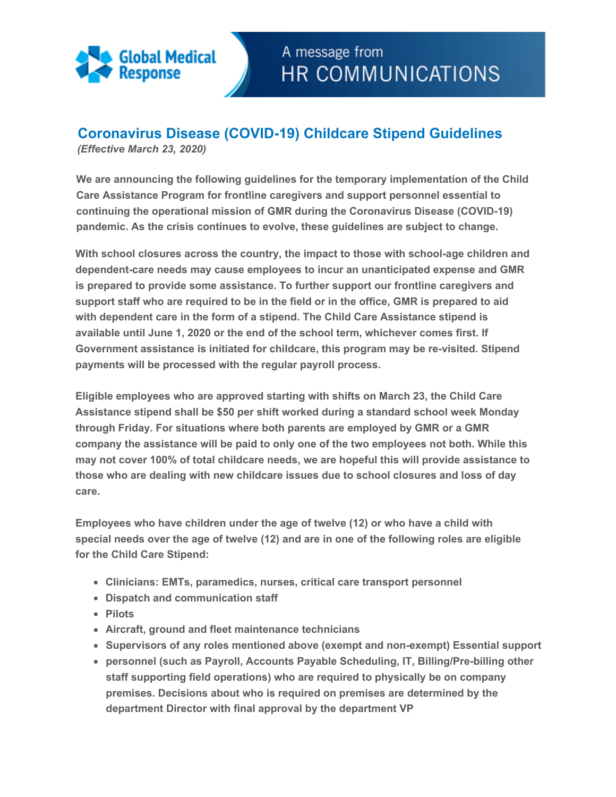

## **Coronavirus Disease (COVID-19) Childcare Stipend Guidelines**

*(Effective March 23, 2020)* 

**We are announcing the following guidelines for the temporary implementation of the Child Care Assistance Program for frontline caregivers and support personnel essential to continuing the operational mission of GMR during the Coronavirus Disease (COVID-19) pandemic. As the crisis continues to evolve, these guidelines are subject to change.** 

**With school closures across the country, the impact to those with school-age children and dependent-care needs may cause employees to incur an unanticipated expense and GMR is prepared to provide some assistance. To further support our frontline caregivers and support staff who are required to be in the field or in the office, GMR is prepared to aid with dependent care in the form of a stipend. The Child Care Assistance stipend is available until June 1, 2020 or the end of the school term, whichever comes first. If Government assistance is initiated for childcare, this program may be re-visited. Stipend payments will be processed with the regular payroll process.**

**Eligible employees who are approved starting with shifts on March 23, the Child Care Assistance stipend shall be \$50 per shift worked during a standard school week Monday through Friday. For situations where both parents are employed by GMR or a GMR company the assistance will be paid to only one of the two employees not both. While this may not cover 100% of total childcare needs, we are hopeful this will provide assistance to those who are dealing with new childcare issues due to school closures and loss of day care.** 

**Employees who have children under the age of twelve (12) or who have a child with special needs over the age of twelve (12) and are in one of the following roles are eligible for the Child Care Stipend:**

- **Clinicians: EMTs, paramedics, nurses, critical care transport personnel**
- **Dispatch and communication staff**
- **Pilots**
- **Aircraft, ground and fleet maintenance technicians**
- **Supervisors of any roles mentioned above (exempt and non-exempt) Essential support**
- **personnel (such as Payroll, Accounts Payable Scheduling, IT, Billing/Pre-billing other staff supporting field operations) who are required to physically be on company premises. Decisions about who is required on premises are determined by the department Director with final approval by the department VP**